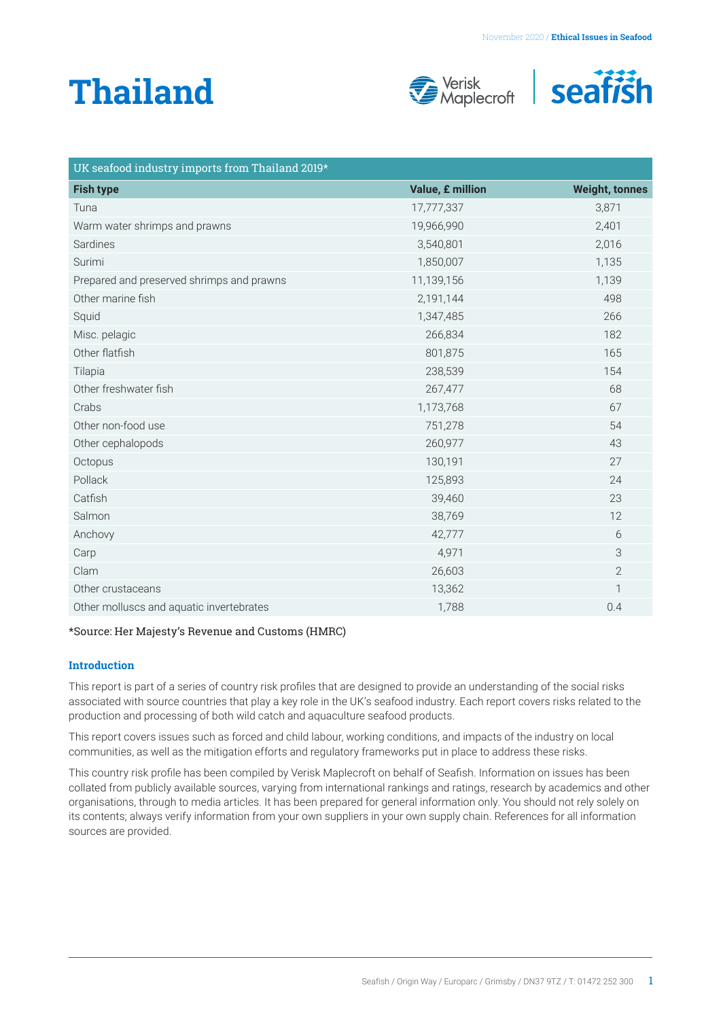# **Thailand**





| UK seafood industry imports from Thailand 2019* |                  |                       |  |
|-------------------------------------------------|------------------|-----------------------|--|
| <b>Fish type</b>                                | Value, £ million | <b>Weight, tonnes</b> |  |
| Tuna                                            | 17,777,337       | 3,871                 |  |
| Warm water shrimps and prawns                   | 19,966,990       | 2,401                 |  |
| Sardines                                        | 3,540,801        | 2,016                 |  |
| Surimi                                          | 1,850,007        | 1,135                 |  |
| Prepared and preserved shrimps and prawns       | 11,139,156       | 1,139                 |  |
| Other marine fish                               | 2,191,144        | 498                   |  |
| Squid                                           | 1,347,485        | 266                   |  |
| Misc. pelagic                                   | 266,834          | 182                   |  |
| Other flatfish                                  | 801,875          | 165                   |  |
| Tilapia                                         | 238,539          | 154                   |  |
| Other freshwater fish                           | 267,477          | 68                    |  |
| Crabs                                           | 1,173,768        | 67                    |  |
| Other non-food use                              | 751,278          | 54                    |  |
| Other cephalopods                               | 260,977          | 43                    |  |
| Octopus                                         | 130,191          | 27                    |  |
| Pollack                                         | 125,893          | 24                    |  |
| Catfish                                         | 39,460           | 23                    |  |
| Salmon                                          | 38,769           | 12                    |  |
| Anchovy                                         | 42,777           | 6                     |  |
| Carp                                            | 4,971            | 3                     |  |
| Clam                                            | 26,603           | $\mathbf{2}$          |  |
| Other crustaceans                               | 13,362           | 1                     |  |
| Other molluscs and aquatic invertebrates        | 1,788            | 0.4                   |  |

# \*Source: Her Majesty's Revenue and Customs (HMRC)

#### **Introduction**

This report is part of a series of country risk profiles that are designed to provide an understanding of the social risks associated with source countries that play a key role in the UK's seafood industry. Each report covers risks related to the production and processing of both wild catch and aquaculture seafood products.

This report covers issues such as forced and child labour, working conditions, and impacts of the industry on local communities, as well as the mitigation efforts and regulatory frameworks put in place to address these risks.

This country risk profile has been compiled by Verisk Maplecroft on behalf of Seafish. Information on issues has been collated from publicly available sources, varying from international rankings and ratings, research by academics and other organisations, through to media articles. It has been prepared for general information only. You should not rely solely on its contents; always verify information from your own suppliers in your own supply chain. References for all information sources are provided.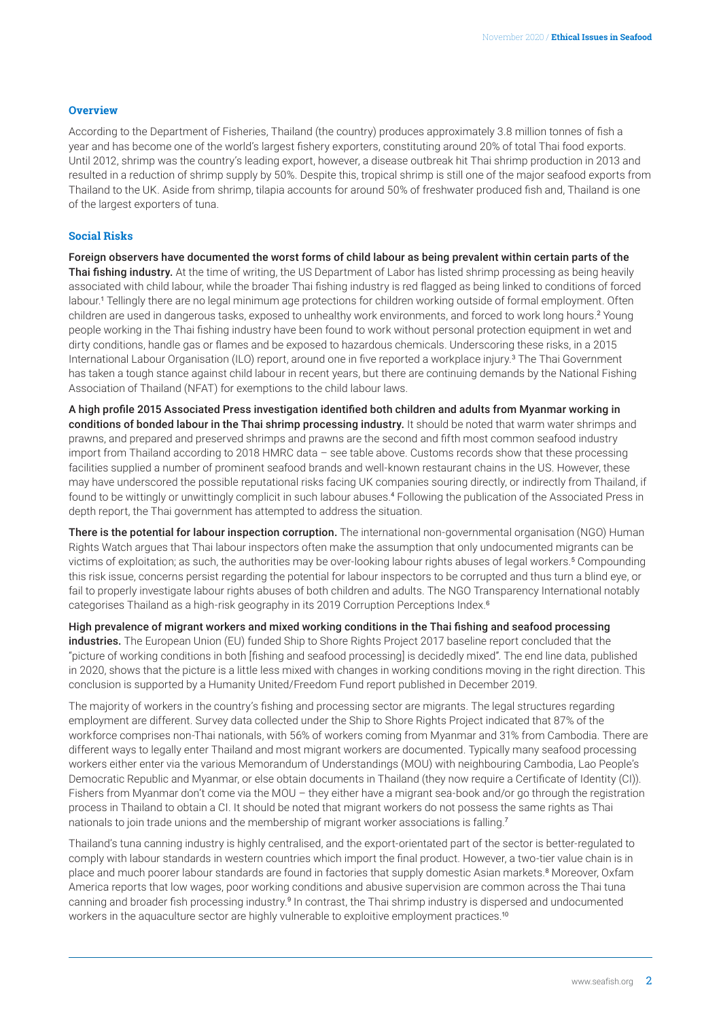#### <span id="page-1-0"></span>**Overview**

According to the Department of Fisheries, Thailand (the country) produces approximately 3.8 million tonnes of fish a year and has become one of the world's largest fishery exporters, constituting around 20% of total Thai food exports. Until 2012, shrimp was the country's leading export, however, a disease outbreak hit Thai shrimp production in 2013 and resulted in a reduction of shrimp supply by 50%. Despite this, tropical shrimp is still one of the major seafood exports from Thailand to the UK. Aside from shrimp, tilapia accounts for around 50% of freshwater produced fish and, Thailand is one of the largest exporters of tuna.

## **Social Risks**

Foreign observers have documented the worst forms of child labour as being prevalent within certain parts of the Thai fishing industry. At the time of writing, the US Department of Labor has listed shrimp processing as being heavily associated with child labour, while the broader Thai fishing industry is red flagged as being linked to conditions of forced labour.[1](#page-5-0) Tellingly there are no legal minimum age protections for children working outside of formal employment. Often children are used in dangerous tasks, exposed to unhealthy work environments, and forced to work long hours.<sup>[2](#page-5-0)</sup> Young people working in the Thai fishing industry have been found to work without personal protection equipment in wet and dirty conditions, handle gas or flames and be exposed to hazardous chemicals. Underscoring these risks, in a 2015 International Labour Organisation (ILO) report, around one in five reported a workplace injury.<sup>[3](#page-5-0)</sup> The Thai Government has taken a tough stance against child labour in recent years, but there are continuing demands by the National Fishing Association of Thailand (NFAT) for exemptions to the child labour laws.

A high profile 2015 Associated Press investigation identified both children and adults from Myanmar working in conditions of bonded labour in the Thai shrimp processing industry. It should be noted that warm water shrimps and prawns, and prepared and preserved shrimps and prawns are the second and fifth most common seafood industry import from Thailand according to 2018 HMRC data – see table above. Customs records show that these processing facilities supplied a number of prominent seafood brands and well-known restaurant chains in the US. However, these may have underscored the possible reputational risks facing UK companies souring directly, or indirectly from Thailand, if found to be wittingly or unwittingly complicit in such labour abuses.[4](#page-5-0) Following the publication of the Associated Press in depth report, the Thai government has attempted to address the situation.

There is the potential for labour inspection corruption. The international non-governmental organisation (NGO) Human Rights Watch argues that Thai labour inspectors often make the assumption that only undocumented migrants can be victims of exploitation; as such, the authorities may be over-looking labour rights abuses of legal workers.<sup>[5](#page-5-0)</sup> Compounding this risk issue, concerns persist regarding the potential for labour inspectors to be corrupted and thus turn a blind eye, or fail to properly investigate labour rights abuses of both children and adults. The NGO Transparency International notably categorises Thailand as a high-risk geography in its 2019 Corruption Perceptions Index.<sup>[6](#page-5-0)</sup>

High prevalence of migrant workers and mixed working conditions in the Thai fishing and seafood processing industries. The European Union (EU) funded Ship to Shore Rights Project 2017 baseline report concluded that the "picture of working conditions in both [fishing and seafood processing] is decidedly mixed". The end line data, published in 2020, shows that the picture is a little less mixed with changes in working conditions moving in the right direction. This conclusion is supported by a Humanity United/Freedom Fund report published in December 2019.

The majority of workers in the country's fishing and processing sector are migrants. The legal structures regarding employment are different. Survey data collected under the Ship to Shore Rights Project indicated that 87% of the workforce comprises non-Thai nationals, with 56% of workers coming from Myanmar and 31% from Cambodia. There are different ways to legally enter Thailand and most migrant workers are documented. Typically many seafood processing workers either enter via the various Memorandum of Understandings (MOU) with neighbouring Cambodia, Lao People's Democratic Republic and Myanmar, or else obtain documents in Thailand (they now require a Certificate of Identity (CI)). Fishers from Myanmar don't come via the MOU – they either have a migrant sea-book and/or go through the registration process in Thailand to obtain a CI. It should be noted that migrant workers do not possess the same rights as Thai nationals to join trade unions and the membership of migrant worker associations is falling.[7](#page-5-0)

Thailand's tuna canning industry is highly centralised, and the export-orientated part of the sector is better-regulated to comply with labour standards in western countries which import the final product. However, a two-tier value chain is in place and much poorer labour standards are found in factories that supply domestic Asian markets.[8](#page-5-0) Moreover, Oxfam America reports that low wages, poor working conditions and abusive supervision are common across the Thai tuna canning and broader fish processing industry.[9](#page-5-0) In contrast, the Thai shrimp industry is dispersed and undocumented workers in the aquaculture sector are highly vulnerable to exploitive employment practices.<sup>[10](#page-5-0)</sup>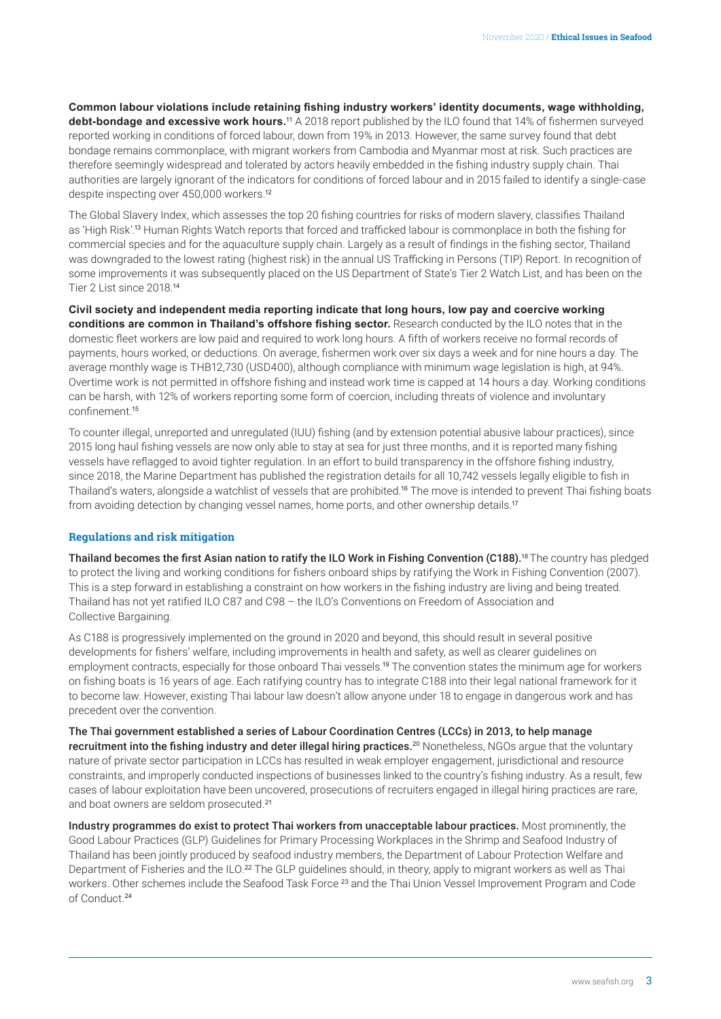<span id="page-2-0"></span>**Common labour violations include retaining fishing industry workers' identity documents, wage withholding, debt-bondage and excessive work hours.**[11](#page-5-0) A 2018 report published by the ILO found that 14% of fishermen surveyed reported working in conditions of forced labour, down from 19% in 2013. However, the same survey found that debt bondage remains commonplace, with migrant workers from Cambodia and Myanmar most at risk. Such practices are therefore seemingly widespread and tolerated by actors heavily embedded in the fishing industry supply chain. Thai authorities are largely ignorant of the indicators for conditions of forced labour and in 2015 failed to identify a single-case despite inspecting over 450,000 workers.[12](#page-5-0)

The Global Slavery Index, which assesses the top 20 fishing countries for risks of modern slavery, classifies Thailand as 'High Risk'.[13](#page-5-0) Human Rights Watch reports that forced and trafficked labour is commonplace in both the fishing for commercial species and for the aquaculture supply chain. Largely as a result of findings in the fishing sector, Thailand was downgraded to the lowest rating (highest risk) in the annual US Trafficking in Persons (TIP) Report. In recognition of some improvements it was subsequently placed on the US Department of State's Tier 2 Watch List, and has been on the Tier 2 List since 2018.[14](#page-5-0)

**Civil society and independent media reporting indicate that long hours, low pay and coercive working conditions are common in Thailand's offshore fishing sector.** Research conducted by the ILO notes that in the domestic fleet workers are low paid and required to work long hours. A fifth of workers receive no formal records of payments, hours worked, or deductions. On average, fishermen work over six days a week and for nine hours a day. The average monthly wage is THB12,730 (USD400), although compliance with minimum wage legislation is high, at 94%. Overtime work is not permitted in offshore fishing and instead work time is capped at 14 hours a day. Working conditions can be harsh, with 12% of workers reporting some form of coercion, including threats of violence and involuntary confinement<sup>[15](#page-5-0)</sup>

To counter illegal, unreported and unregulated (IUU) fishing (and by extension potential abusive labour practices), since 2015 long haul fishing vessels are now only able to stay at sea for just three months, and it is reported many fishing vessels have reflagged to avoid tighter regulation. In an effort to build transparency in the offshore fishing industry, since 2018, the Marine Department has published the registration details for all 10,742 vessels legally eligible to fish in Thailand's waters, alongside a watchlist of vessels that are prohibited.[16](#page-5-0) The move is intended to prevent Thai fishing boats from avoiding detection by changing vessel names, home ports, and other ownership details.<sup>[17](#page-5-0)</sup>

# **Regulations and risk mitigation**

Thailand becomes the first Asian nation to ratify the ILO Work in Fishing Convention (C[18](#page-5-0)8).<sup>18</sup> The country has pledged to protect the living and working conditions for fishers onboard ships by ratifying the Work in Fishing Convention (2007). This is a step forward in establishing a constraint on how workers in the fishing industry are living and being treated. Thailand has not yet ratified ILO C87 and C98 – the ILO's Conventions on Freedom of Association and Collective Bargaining.

As C188 is progressively implemented on the ground in 2020 and beyond, this should result in several positive developments for fishers' welfare, including improvements in health and safety, as well as clearer guidelines on employment contracts, especially for those onboard Thai vessels.[19](#page-5-0) The convention states the minimum age for workers on fishing boats is 16 years of age. Each ratifying country has to integrate C188 into their legal national framework for it to become law. However, existing Thai labour law doesn't allow anyone under 18 to engage in dangerous work and has precedent over the convention.

The Thai government established a series of Labour Coordination Centres (LCCs) in 2013, to help manage recruitment into the fishing industry and deter illegal hiring practices.<sup>[20](#page-5-0)</sup> Nonetheless, NGOs argue that the voluntary nature of private sector participation in LCCs has resulted in weak employer engagement, jurisdictional and resource constraints, and improperly conducted inspections of businesses linked to the country's fishing industry. As a result, few cases of labour exploitation have been uncovered, prosecutions of recruiters engaged in illegal hiring practices are rare, and boat owners are seldom prosecuted.<sup>[21](#page-5-0)</sup>

Industry programmes do exist to protect Thai workers from unacceptable labour practices. Most prominently, the Good Labour Practices (GLP) Guidelines for Primary Processing Workplaces in the Shrimp and Seafood Industry of Thailand has been jointly produced by seafood industry members, the Department of Labour Protection Welfare and Department of Fisheries and the ILO.<sup>[22](#page-5-0)</sup> The GLP guidelines should, in theory, apply to migrant workers as well as Thai workers. Other schemes include the Seafood Task Force <sup>[23](#page-5-0)</sup> and the Thai Union Vessel Improvement Program and Code of Conduct.[24](#page-5-0)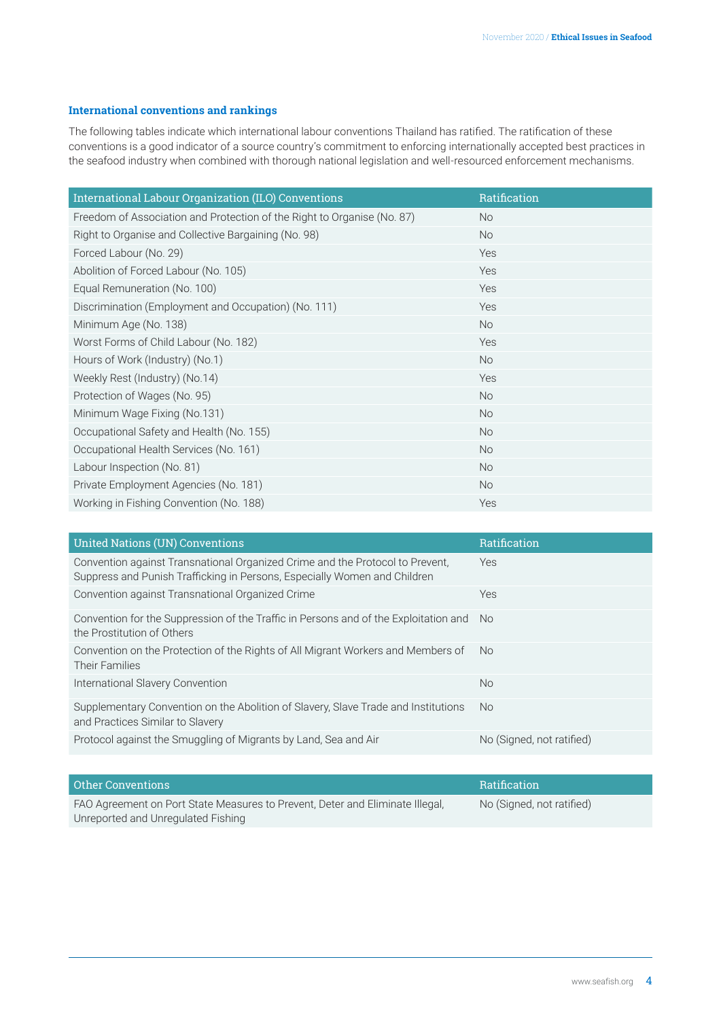# **International conventions and rankings**

The following tables indicate which international labour conventions Thailand has ratified. The ratification of these conventions is a good indicator of a source country's commitment to enforcing internationally accepted best practices in the seafood industry when combined with thorough national legislation and well-resourced enforcement mechanisms.

| International Labour Organization (ILO) Conventions                     | Ratification |
|-------------------------------------------------------------------------|--------------|
| Freedom of Association and Protection of the Right to Organise (No. 87) | No.          |
| Right to Organise and Collective Bargaining (No. 98)                    | <b>No</b>    |
| Forced Labour (No. 29)                                                  | Yes          |
| Abolition of Forced Labour (No. 105)                                    | Yes          |
| Equal Remuneration (No. 100)                                            | Yes          |
| Discrimination (Employment and Occupation) (No. 111)                    | Yes          |
| Minimum Age (No. 138)                                                   | <b>No</b>    |
| Worst Forms of Child Labour (No. 182)                                   | Yes          |
| Hours of Work (Industry) (No.1)                                         | <b>No</b>    |
| Weekly Rest (Industry) (No.14)                                          | Yes          |
| Protection of Wages (No. 95)                                            | <b>No</b>    |
| Minimum Wage Fixing (No.131)                                            | <b>No</b>    |
| Occupational Safety and Health (No. 155)                                | <b>No</b>    |
| Occupational Health Services (No. 161)                                  | <b>No</b>    |
| Labour Inspection (No. 81)                                              | <b>No</b>    |
| Private Employment Agencies (No. 181)                                   | <b>No</b>    |
| Working in Fishing Convention (No. 188)                                 | Yes          |

| <b>United Nations (UN) Conventions</b>                                                                                                                     | Ratification              |
|------------------------------------------------------------------------------------------------------------------------------------------------------------|---------------------------|
| Convention against Transnational Organized Crime and the Protocol to Prevent.<br>Suppress and Punish Trafficking in Persons, Especially Women and Children | <b>Yes</b>                |
| Convention against Transnational Organized Crime                                                                                                           | <b>Yes</b>                |
| Convention for the Suppression of the Traffic in Persons and of the Exploitation and<br>the Prostitution of Others                                         | No.                       |
| Convention on the Protection of the Rights of All Migrant Workers and Members of<br>Their Families                                                         | No.                       |
| International Slavery Convention                                                                                                                           | <b>No</b>                 |
| Supplementary Convention on the Abolition of Slavery, Slave Trade and Institutions<br>and Practices Similar to Slavery                                     | No.                       |
| Protocol against the Smuggling of Migrants by Land, Sea and Air                                                                                            | No (Signed, not ratified) |

| Other Conventions                                                             | <b>Ratification</b>       |
|-------------------------------------------------------------------------------|---------------------------|
| FAO Agreement on Port State Measures to Prevent, Deter and Eliminate Illegal, | No (Signed, not ratified) |
| Unreported and Unregulated Fishing                                            |                           |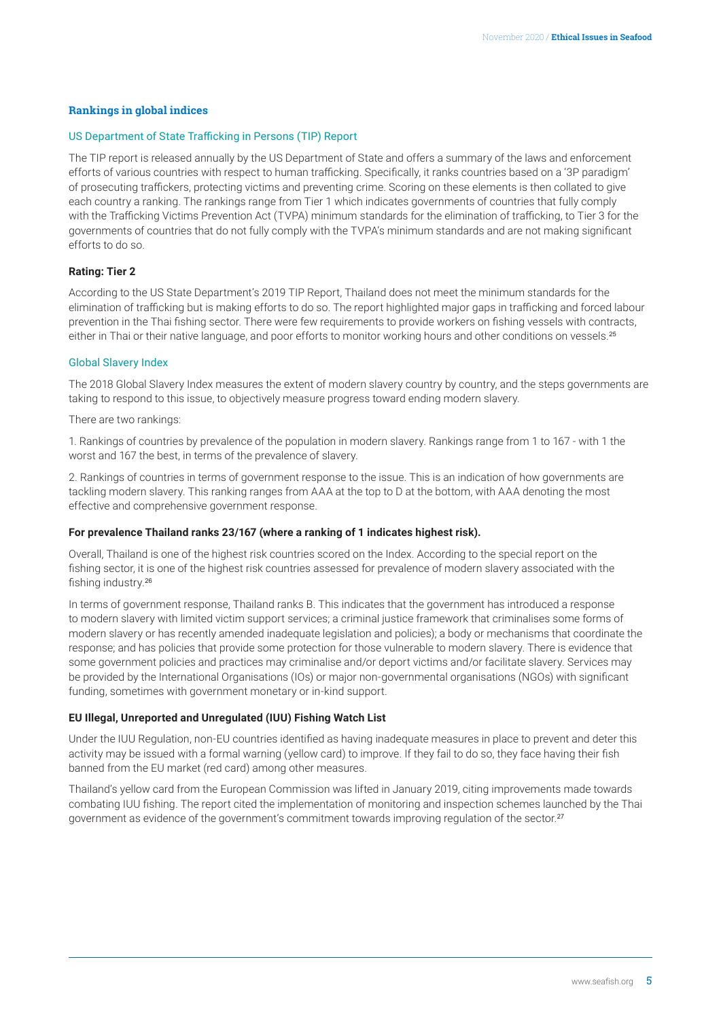## <span id="page-4-0"></span>**Rankings in global indices**

#### US Department of State Trafficking in Persons (TIP) Report

The TIP report is released annually by the US Department of State and offers a summary of the laws and enforcement efforts of various countries with respect to human trafficking. Specifically, it ranks countries based on a '3P paradigm' of prosecuting traffickers, protecting victims and preventing crime. Scoring on these elements is then collated to give each country a ranking. The rankings range from Tier 1 which indicates governments of countries that fully comply with the Trafficking Victims Prevention Act (TVPA) minimum standards for the elimination of trafficking, to Tier 3 for the governments of countries that do not fully comply with the TVPA's minimum standards and are not making significant efforts to do so.

# **Rating: Tier 2**

According to the US State Department's 2019 TIP Report, Thailand does not meet the minimum standards for the elimination of trafficking but is making efforts to do so. The report highlighted major gaps in trafficking and forced labour prevention in the Thai fishing sector. There were few requirements to provide workers on fishing vessels with contracts, either in Thai or their native language, and poor efforts to monitor working hours and other conditions on vessels.<sup>[25](#page-5-0)</sup>

### Global Slavery Index

The 2018 Global Slavery Index measures the extent of modern slavery country by country, and the steps governments are taking to respond to this issue, to objectively measure progress toward ending modern slavery.

There are two rankings:

1. Rankings of countries by prevalence of the population in modern slavery. Rankings range from 1 to 167 - with 1 the worst and 167 the best, in terms of the prevalence of slavery.

2. Rankings of countries in terms of government response to the issue. This is an indication of how governments are tackling modern slavery. This ranking ranges from AAA at the top to D at the bottom, with AAA denoting the most effective and comprehensive government response.

#### **For prevalence Thailand ranks 23/167 (where a ranking of 1 indicates highest risk).**

Overall, Thailand is one of the highest risk countries scored on the Index. According to the special report on the fishing sector, it is one of the highest risk countries assessed for prevalence of modern slavery associated with the fishing industry.[26](#page-5-0)

In terms of government response, Thailand ranks B. This indicates that the government has introduced a response to modern slavery with limited victim support services; a criminal justice framework that criminalises some forms of modern slavery or has recently amended inadequate legislation and policies); a body or mechanisms that coordinate the response; and has policies that provide some protection for those vulnerable to modern slavery. There is evidence that some government policies and practices may criminalise and/or deport victims and/or facilitate slavery. Services may be provided by the International Organisations (IOs) or major non-governmental organisations (NGOs) with significant funding, sometimes with government monetary or in-kind support.

# **EU Illegal, Unreported and Unregulated (IUU) Fishing Watch List**

Under the IUU Regulation, non-EU countries identified as having inadequate measures in place to prevent and deter this activity may be issued with a formal warning (yellow card) to improve. If they fail to do so, they face having their fish banned from the EU market (red card) among other measures.

Thailand's yellow card from the European Commission was lifted in January 2019, citing improvements made towards combating IUU fishing. The report cited the implementation of monitoring and inspection schemes launched by the Thai government as evidence of the government's commitment towards improving regulation of the sector.<sup>[27](#page-5-0)</sup>